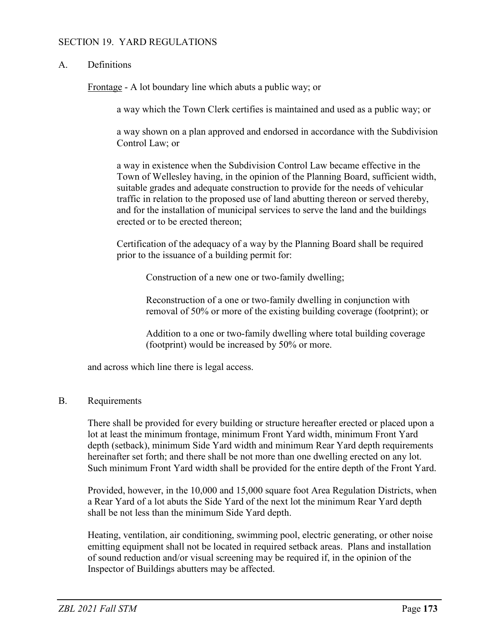### SECTION 19. YARD REGULATIONS

## A. Definitions

Frontage - A lot boundary line which abuts a public way; or

a way which the Town Clerk certifies is maintained and used as a public way; or

a way shown on a plan approved and endorsed in accordance with the Subdivision Control Law; or

a way in existence when the Subdivision Control Law became effective in the Town of Wellesley having, in the opinion of the Planning Board, sufficient width, suitable grades and adequate construction to provide for the needs of vehicular traffic in relation to the proposed use of land abutting thereon or served thereby, and for the installation of municipal services to serve the land and the buildings erected or to be erected thereon;

Certification of the adequacy of a way by the Planning Board shall be required prior to the issuance of a building permit for:

Construction of a new one or two-family dwelling;

Reconstruction of a one or two-family dwelling in conjunction with removal of 50% or more of the existing building coverage (footprint); or

Addition to a one or two-family dwelling where total building coverage (footprint) would be increased by 50% or more.

and across which line there is legal access.

#### B. Requirements

There shall be provided for every building or structure hereafter erected or placed upon a lot at least the minimum frontage, minimum Front Yard width, minimum Front Yard depth (setback), minimum Side Yard width and minimum Rear Yard depth requirements hereinafter set forth; and there shall be not more than one dwelling erected on any lot. Such minimum Front Yard width shall be provided for the entire depth of the Front Yard.

Provided, however, in the 10,000 and 15,000 square foot Area Regulation Districts, when a Rear Yard of a lot abuts the Side Yard of the next lot the minimum Rear Yard depth shall be not less than the minimum Side Yard depth.

Heating, ventilation, air conditioning, swimming pool, electric generating, or other noise emitting equipment shall not be located in required setback areas. Plans and installation of sound reduction and/or visual screening may be required if, in the opinion of the Inspector of Buildings abutters may be affected.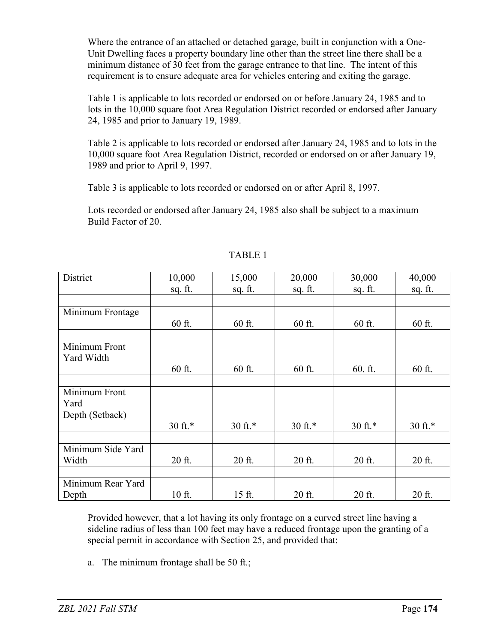Where the entrance of an attached or detached garage, built in conjunction with a One-Unit Dwelling faces a property boundary line other than the street line there shall be a minimum distance of 30 feet from the garage entrance to that line. The intent of this requirement is to ensure adequate area for vehicles entering and exiting the garage.

Table 1 is applicable to lots recorded or endorsed on or before January 24, 1985 and to lots in the 10,000 square foot Area Regulation District recorded or endorsed after January 24, 1985 and prior to January 19, 1989.

Table 2 is applicable to lots recorded or endorsed after January 24, 1985 and to lots in the 10,000 square foot Area Regulation District, recorded or endorsed on or after January 19, 1989 and prior to April 9, 1997.

Table 3 is applicable to lots recorded or endorsed on or after April 8, 1997.

Lots recorded or endorsed after January 24, 1985 also shall be subject to a maximum Build Factor of 20.

| District          | 10,000             | 15,000             | 20,000  | 30,000             | 40,000  |
|-------------------|--------------------|--------------------|---------|--------------------|---------|
|                   | sq. ft.            | sq. ft.            | sq. ft. | sq. ft.            | sq. ft. |
|                   |                    |                    |         |                    |         |
|                   |                    |                    |         |                    |         |
| Minimum Frontage  |                    |                    |         |                    |         |
|                   | 60 ft.             | 60 ft.             | 60 ft.  | 60 ft.             | 60 ft.  |
|                   |                    |                    |         |                    |         |
| Minimum Front     |                    |                    |         |                    |         |
| Yard Width        |                    |                    |         |                    |         |
|                   | 60 ft.             | 60 ft.             | 60 ft.  | $60.$ ft.          | 60 ft.  |
|                   |                    |                    |         |                    |         |
| Minimum Front     |                    |                    |         |                    |         |
| Yard              |                    |                    |         |                    |         |
| Depth (Setback)   |                    |                    |         |                    |         |
|                   | $30 \text{ ft.}^*$ |                    | 30 ft.* |                    | 30 ft.* |
|                   |                    | $30 \text{ ft.}^*$ |         | $30 \text{ ft.}^*$ |         |
|                   |                    |                    |         |                    |         |
| Minimum Side Yard |                    |                    |         |                    |         |
| Width             | 20 ft.             | 20 ft.             | 20 ft.  | 20 ft.             | 20 ft.  |
|                   |                    |                    |         |                    |         |
| Minimum Rear Yard |                    |                    |         |                    |         |
| Depth             | 10 ft.             | 15 ft.             | 20 ft.  | 20 ft.             | 20 ft.  |

# TABLE 1

Provided however, that a lot having its only frontage on a curved street line having a sideline radius of less than 100 feet may have a reduced frontage upon the granting of a special permit in accordance with Section 25, and provided that:

a. The minimum frontage shall be 50 ft.;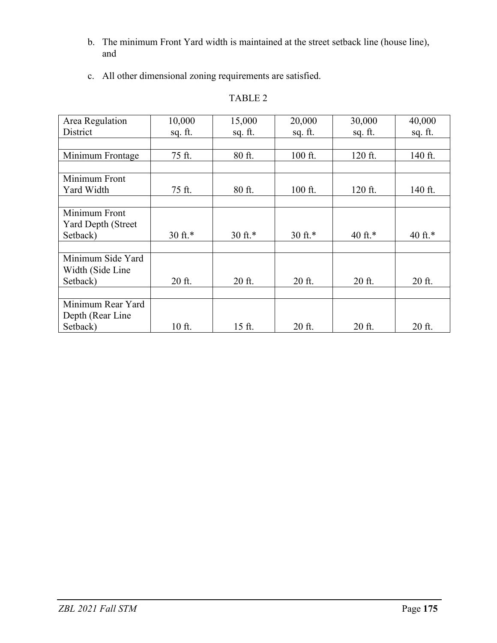- b. The minimum Front Yard width is maintained at the street setback line (house line), and
- c. All other dimensional zoning requirements are satisfied.

## TABLE 2

| Area Regulation           | 10,000             | 15,000             | 20,000             | 30,000     | 40,000     |
|---------------------------|--------------------|--------------------|--------------------|------------|------------|
| District                  | sq. ft.            | sq. ft.            | sq. ft.            | sq. ft.    | sq. ft.    |
|                           |                    |                    |                    |            |            |
| Minimum Frontage          | 75 ft.             | 80 ft.             | 100 ft.            | 120 ft.    | 140 ft.    |
|                           |                    |                    |                    |            |            |
| Minimum Front             |                    |                    |                    |            |            |
| Yard Width                | 75 ft.             | 80 ft.             | 100 ft.            | 120 ft.    | 140 ft.    |
|                           |                    |                    |                    |            |            |
| Minimum Front             |                    |                    |                    |            |            |
| <b>Yard Depth (Street</b> |                    |                    |                    |            |            |
| Setback)                  | $30 \text{ ft.}^*$ | $30 \text{ ft.}^*$ | $30 \text{ ft.}^*$ | 40 ft. $*$ | 40 ft. $*$ |
|                           |                    |                    |                    |            |            |
| Minimum Side Yard         |                    |                    |                    |            |            |
| Width (Side Line          |                    |                    |                    |            |            |
| Setback)                  | 20 ft.             | 20 ft.             | 20 ft.             | 20 ft.     | 20 ft.     |
|                           |                    |                    |                    |            |            |
| Minimum Rear Yard         |                    |                    |                    |            |            |
| Depth (Rear Line)         |                    |                    |                    |            |            |
| Setback)                  | 10 ft.             | 15 ft.             | 20 ft.             | 20 ft.     | 20 ft.     |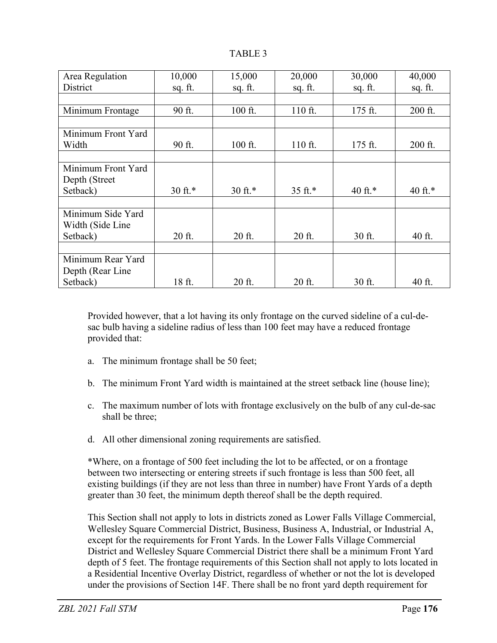| DI. |  |
|-----|--|
|-----|--|

| Area Regulation    | 10,000             | 15,000             | 20,000  | 30,000  | 40,000  |
|--------------------|--------------------|--------------------|---------|---------|---------|
| District           | sq. ft.            | sq. ft.            | sq. ft. | sq. ft. | sq. ft. |
|                    |                    |                    |         |         |         |
| Minimum Frontage   | 90 ft.             | 100 ft.            | 110 ft. | 175 ft. | 200 ft. |
|                    |                    |                    |         |         |         |
| Minimum Front Yard |                    |                    |         |         |         |
| Width              | 90 ft.             | 100 ft.            | 110 ft. | 175 ft. | 200 ft. |
|                    |                    |                    |         |         |         |
| Minimum Front Yard |                    |                    |         |         |         |
| Depth (Street      |                    |                    |         |         |         |
| Setback)           | $30 \text{ ft.}^*$ | $30 \text{ ft.}^*$ | 35 ft.* | 40 ft.* | 40 ft.* |
|                    |                    |                    |         |         |         |
| Minimum Side Yard  |                    |                    |         |         |         |
| Width (Side Line   |                    |                    |         |         |         |
| Setback)           | 20 ft.             | 20 ft.             | 20 ft.  | 30 ft.  | 40 ft.  |
|                    |                    |                    |         |         |         |
| Minimum Rear Yard  |                    |                    |         |         |         |
| Depth (Rear Line)  |                    |                    |         |         |         |
| Setback)           | 18 ft.             | 20 ft.             | 20 ft.  | 30 ft.  | 40 ft.  |

Provided however, that a lot having its only frontage on the curved sideline of a cul-desac bulb having a sideline radius of less than 100 feet may have a reduced frontage provided that:

- a. The minimum frontage shall be 50 feet;
- b. The minimum Front Yard width is maintained at the street setback line (house line);
- c. The maximum number of lots with frontage exclusively on the bulb of any cul-de-sac shall be three;
- d. All other dimensional zoning requirements are satisfied.

\*Where, on a frontage of 500 feet including the lot to be affected, or on a frontage between two intersecting or entering streets if such frontage is less than 500 feet, all existing buildings (if they are not less than three in number) have Front Yards of a depth greater than 30 feet, the minimum depth thereof shall be the depth required.

This Section shall not apply to lots in districts zoned as Lower Falls Village Commercial, Wellesley Square Commercial District, Business, Business A, Industrial, or Industrial A, except for the requirements for Front Yards. In the Lower Falls Village Commercial District and Wellesley Square Commercial District there shall be a minimum Front Yard depth of 5 feet. The frontage requirements of this Section shall not apply to lots located in a Residential Incentive Overlay District, regardless of whether or not the lot is developed under the provisions of Section 14F. There shall be no front yard depth requirement for